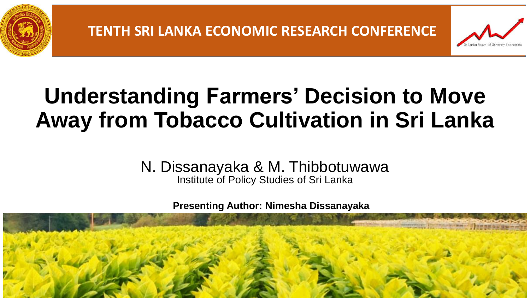



## **Understanding Farmers' Decision to Move Away from Tobacco Cultivation in Sri Lanka**

N. Dissanayaka & M. Thibbotuwawa Institute of Policy Studies of Sri Lanka

**Presenting Author: Nimesha Dissanayaka**

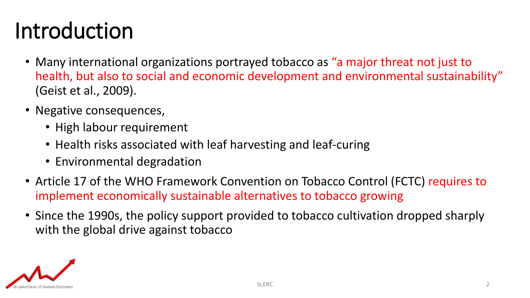## Introduction

- Many international organizations portrayed tobacco as "a major threat not just to health, but also to social and economic development and environmental sustainability" (Geist et al., 2009).
- Negative consequences,
	- High labour requirement
	- Health risks associated with leaf harvesting and leaf-curing
	- Environmental degradation
- Article 17 of the WHO Framework Convention on Tobacco Control (FCTC) requires to implement economically sustainable alternatives to tobacco growing
- Since the 1990s, the policy support provided to tobacco cultivation dropped sharply with the global drive against tobacco

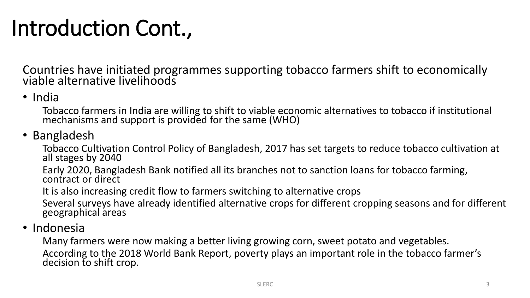## Introduction Cont.,

Countries have initiated programmes supporting tobacco farmers shift to economically viable alternative livelihoods

### • India

Tobacco farmers in India are willing to shift to viable economic alternatives to tobacco if institutional mechanisms and support is provided for the same (WHO)

### • Bangladesh

Tobacco Cultivation Control Policy of Bangladesh, 2017 has set targets to reduce tobacco cultivation at all stages by 2040

Early 2020, Bangladesh Bank notified all its branches not to sanction loans for tobacco farming, contract or direct

It is also increasing credit flow to farmers switching to alternative crops

Several surveys have already identified alternative crops for different cropping seasons and for different geographical areas

• Indonesia

Many farmers were now making a better living growing corn, sweet potato and vegetables. According to the 2018 World Bank Report, poverty plays an important role in the tobacco farmer's decision to shift crop.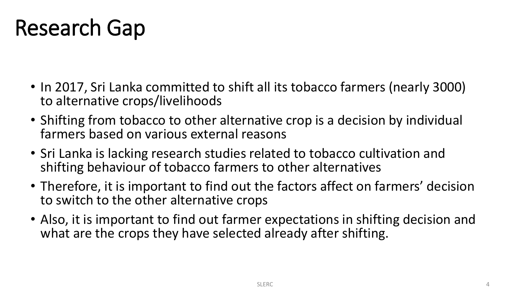## Research Gap

- In 2017, Sri Lanka committed to shift all its tobacco farmers (nearly 3000) to alternative crops/livelihoods
- Shifting from tobacco to other alternative crop is a decision by individual farmers based on various external reasons
- Sri Lanka is lacking research studies related to tobacco cultivation and shifting behaviour of tobacco farmers to other alternatives
- Therefore, it is important to find out the factors affect on farmers' decision to switch to the other alternative crops
- Also, it is important to find out farmer expectations in shifting decision and what are the crops they have selected already after shifting.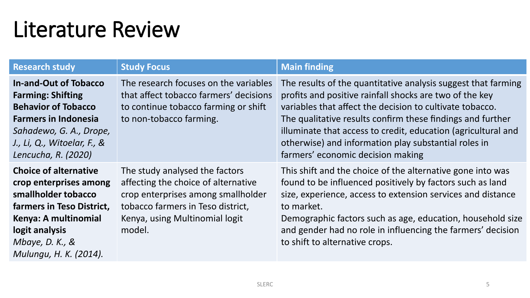## Literature Review

| <b>Research study</b>                                                                                                                                                                                  | <b>Study Focus</b>                                                                                                                                                                           | <b>Main finding</b>                                                                                                                                                                                                                                                                                                                                                                                              |
|--------------------------------------------------------------------------------------------------------------------------------------------------------------------------------------------------------|----------------------------------------------------------------------------------------------------------------------------------------------------------------------------------------------|------------------------------------------------------------------------------------------------------------------------------------------------------------------------------------------------------------------------------------------------------------------------------------------------------------------------------------------------------------------------------------------------------------------|
| <b>In-and-Out of Tobacco</b><br><b>Farming: Shifting</b><br><b>Behavior of Tobacco</b><br><b>Farmers in Indonesia</b><br>Sahadewo, G. A., Drope,<br>J., Li, Q., Witoelar, F., &<br>Lencucha, R. (2020) | The research focuses on the variables<br>that affect tobacco farmers' decisions<br>to continue tobacco farming or shift<br>to non-tobacco farming.                                           | The results of the quantitative analysis suggest that farming<br>profits and positive rainfall shocks are two of the key<br>variables that affect the decision to cultivate tobacco.<br>The qualitative results confirm these findings and further<br>illuminate that access to credit, education (agricultural and<br>otherwise) and information play substantial roles in<br>farmers' economic decision making |
| <b>Choice of alternative</b><br>crop enterprises among<br>smallholder tobacco<br>farmers in Teso District,<br>Kenya: A multinomial<br>logit analysis<br>Mbaye, D. K., $\&$<br>Mulungu, H. K. (2014).   | The study analysed the factors<br>affecting the choice of alternative<br>crop enterprises among smallholder<br>tobacco farmers in Teso district,<br>Kenya, using Multinomial logit<br>model. | This shift and the choice of the alternative gone into was<br>found to be influenced positively by factors such as land<br>size, experience, access to extension services and distance<br>to market.<br>Demographic factors such as age, education, household size<br>and gender had no role in influencing the farmers' decision<br>to shift to alternative crops.                                              |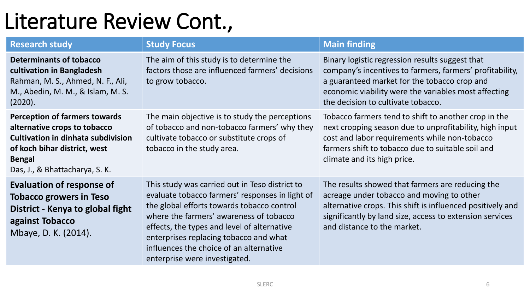## Literature Review Cont.,

| <b>Research study</b>                                                                                                                                                                                | <b>Study Focus</b>                                                                                                                                                                                                                                                                                                                                              | <b>Main finding</b>                                                                                                                                                                                                                                       |
|------------------------------------------------------------------------------------------------------------------------------------------------------------------------------------------------------|-----------------------------------------------------------------------------------------------------------------------------------------------------------------------------------------------------------------------------------------------------------------------------------------------------------------------------------------------------------------|-----------------------------------------------------------------------------------------------------------------------------------------------------------------------------------------------------------------------------------------------------------|
| <b>Determinants of tobacco</b><br>cultivation in Bangladesh<br>Rahman, M. S., Ahmed, N. F., Ali,<br>M., Abedin, M. M., & Islam, M. S.<br>(2020).                                                     | The aim of this study is to determine the<br>factors those are influenced farmers' decisions<br>to grow tobacco.                                                                                                                                                                                                                                                | Binary logistic regression results suggest that<br>company's incentives to farmers, farmers' profitability,<br>a guaranteed market for the tobacco crop and<br>economic viability were the variables most affecting<br>the decision to cultivate tobacco. |
| <b>Perception of farmers towards</b><br>alternative crops to tobacco<br><b>Cultivation in dinhata subdivision</b><br>of koch bihar district, west<br><b>Bengal</b><br>Das, J., & Bhattacharya, S. K. | The main objective is to study the perceptions<br>of tobacco and non-tobacco farmers' why they<br>cultivate tobacco or substitute crops of<br>tobacco in the study area.                                                                                                                                                                                        | Tobacco farmers tend to shift to another crop in the<br>next cropping season due to unprofitability, high input<br>cost and labor requirements while non-tobacco<br>farmers shift to tobacco due to suitable soil and<br>climate and its high price.      |
| <b>Evaluation of response of</b><br><b>Tobacco growers in Teso</b><br>District - Kenya to global fight<br>against Tobacco<br>Mbaye, D. K. (2014).                                                    | This study was carried out in Teso district to<br>evaluate tobacco farmers' responses in light of<br>the global efforts towards tobacco control<br>where the farmers' awareness of tobacco<br>effects, the types and level of alternative<br>enterprises replacing tobacco and what<br>influences the choice of an alternative<br>enterprise were investigated. | The results showed that farmers are reducing the<br>acreage under tobacco and moving to other<br>alternative crops. This shift is influenced positively and<br>significantly by land size, access to extension services<br>and distance to the market.    |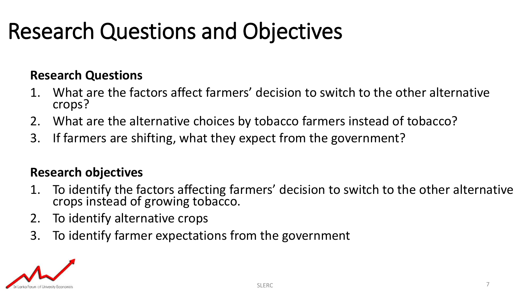## Research Questions and Objectives

### **Research Questions**

- 1. What are the factors affect farmers' decision to switch to the other alternative crops?
- 2. What are the alternative choices by tobacco farmers instead of tobacco?
- 3. If farmers are shifting, what they expect from the government?

### **Research objectives**

- 1. To identify the factors affecting farmers' decision to switch to the other alternative crops instead of growing tobacco.
- 2. To identify alternative crops
- 3. To identify farmer expectations from the government

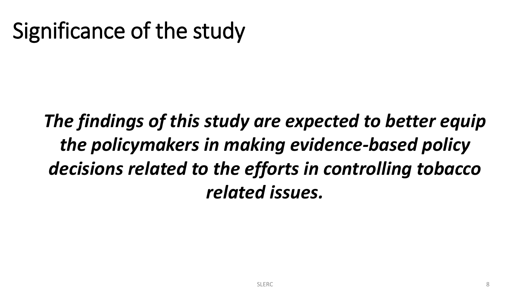## Significance of the study

## *The findings of this study are expected to better equip the policymakers in making evidence-based policy decisions related to the efforts in controlling tobacco related issues.*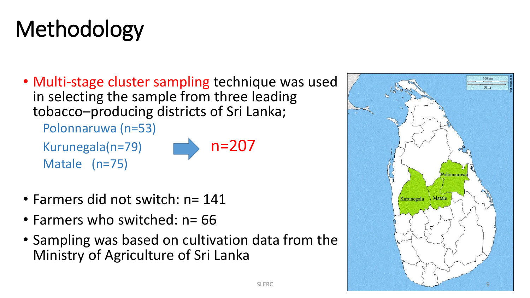## Methodology

• Multi-stage cluster sampling technique was used in selecting the sample from three leading tobacco–producing districts of Sri Lanka;

Polonnaruwa (n=53)

Kurunegala(n=79)  $n=207$ Matale (n=75)



- Farmers did not switch: n= 141
- Farmers who switched: n= 66
- Sampling was based on cultivation data from the Ministry of Agriculture of Sri Lanka

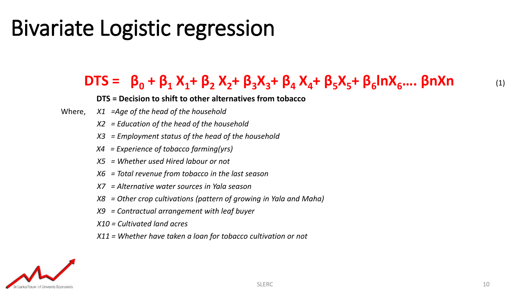## Bivariate Logistic regression

## DTS =  $β_0 + β_1 X_1 + β_2 X_2 + β_3 X_3 + β_4 X_4 + β_5 X_5 + β_6 \ln X_6.... \beta n X n$  (1)

#### **DTS = Decision to shift to other alternatives from tobacco**

- Where, *X1 =Age of the head of the household*
	- *X2 = Education of the head of the household*
	- *X3 = Employment status of the head of the household*
	- *X4 = Experience of tobacco farming(yrs)*
	- *X5 = Whether used Hired labour or not*
	- *X6 = Total revenue from tobacco in the last season*
	- *X7 = Alternative water sources in Yala season*
	- *X8 = Other crop cultivations (pattern of growing in Yala and Maha)*
	- *X9 = Contractual arrangement with leaf buyer*
	- *X10 = Cultivated land acres*
	- *X11 = Whether have taken a loan for tobacco cultivation or not*

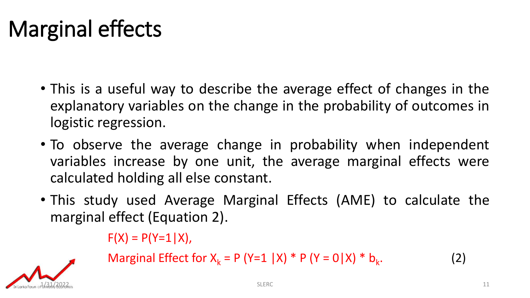## Marginal effects

- This is a useful way to describe the average effect of changes in the explanatory variables on the change in the probability of outcomes in logistic regression.
- To observe the average change in probability when independent variables increase by one unit, the average marginal effects were calculated holding all else constant.
- This study used Average Marginal Effects (AME) to calculate the marginal effect (Equation 2).

 $F(X) = P(Y=1|X)$ ,

 $1/31/2022$ 

Marginal Effect for 
$$
X_k = P (Y=1 | X) * P (Y=0 | X) * b_k.
$$
 (2)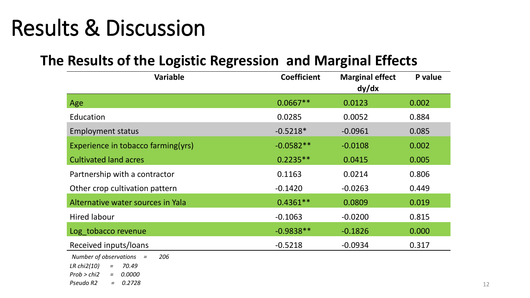## Results & Discussion

### **The Results of the Logistic Regression and Marginal Effects**

| <b>Variable</b>                                                                                                                              | <b>Coefficient</b> | <b>Marginal effect</b><br>dy/dx | P value |
|----------------------------------------------------------------------------------------------------------------------------------------------|--------------------|---------------------------------|---------|
| Age                                                                                                                                          | $0.0667**$         | 0.0123                          | 0.002   |
| Education                                                                                                                                    | 0.0285             | 0.0052                          | 0.884   |
| <b>Employment status</b>                                                                                                                     | $-0.5218*$         | $-0.0961$                       | 0.085   |
| Experience in tobacco farming(yrs)                                                                                                           | $-0.0582**$        | $-0.0108$                       | 0.002   |
| <b>Cultivated land acres</b>                                                                                                                 | $0.2235**$         | 0.0415                          | 0.005   |
| Partnership with a contractor                                                                                                                | 0.1163             | 0.0214                          | 0.806   |
| Other crop cultivation pattern                                                                                                               | $-0.1420$          | $-0.0263$                       | 0.449   |
| Alternative water sources in Yala                                                                                                            | $0.4361**$         | 0.0809                          | 0.019   |
| <b>Hired labour</b>                                                                                                                          | $-0.1063$          | $-0.0200$                       | 0.815   |
| Log tobacco revenue                                                                                                                          | $-0.9838**$        | $-0.1826$                       | 0.000   |
| Received inputs/loans                                                                                                                        | $-0.5218$          | $-0.0934$                       | 0.317   |
| Number of observations $=$<br>206<br>LR chi $2(10)$<br>70.49<br>$=$<br>Prob > chi2<br>0.0000<br>$\equiv$ $\equiv$<br>Pseudo R2<br>$= 0.2728$ |                    |                                 |         |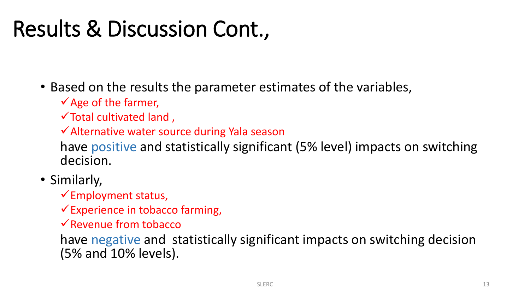## Results & Discussion Cont.,

• Based on the results the parameter estimates of the variables,

✓Age of the farmer,

 $\checkmark$  Total cultivated land,

✓Alternative water source during Yala season

have positive and statistically significant (5% level) impacts on switching decision.

• Similarly,

✓Employment status,

 $\checkmark$  Experience in tobacco farming,

✓Revenue from tobacco

have negative and statistically significant impacts on switching decision (5% and 10% levels).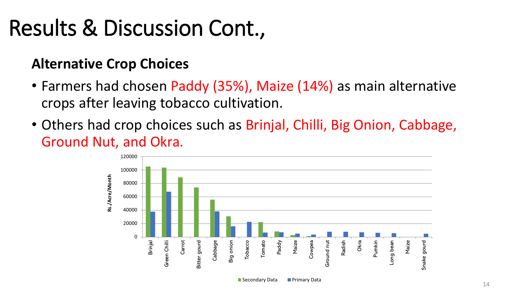## Results & Discussion Cont.,

### **Alternative Crop Choices**

- Farmers had chosen Paddy (35%), Maize (14%) as main alternative crops after leaving tobacco cultivation.
- Others had crop choices such as Brinjal, Chilli, Big Onion, Cabbage, Ground Nut, and Okra.



■ Secondary Data ■ Primary Data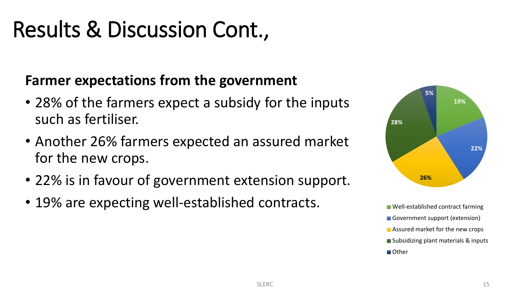## Results & Discussion Cont.,

### **Farmer expectations from the government**

- 28% of the farmers expect a subsidy for the inputs such as fertiliser.
- Another 26% farmers expected an assured market for the new crops.
- 22% is in favour of government extension support.
- 19% are expecting well-established contracts.



■ Well-established contract farming Government support (extension) **Assured market for the new crops** ■ Subsidizing plant materials & inputs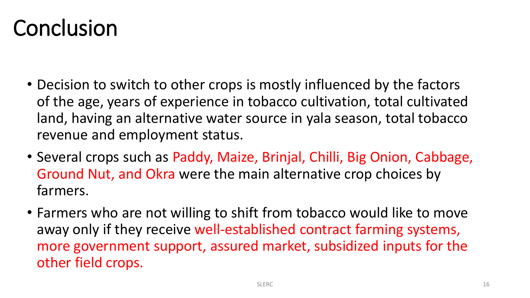## **Conclusion**

- Decision to switch to other crops is mostly influenced by the factors of the age, years of experience in tobacco cultivation, total cultivated land, having an alternative water source in yala season, total tobacco revenue and employment status.
- Several crops such as Paddy, Maize, Brinjal, Chilli, Big Onion, Cabbage, Ground Nut, and Okra were the main alternative crop choices by farmers.
- Farmers who are not willing to shift from tobacco would like to move away only if they receive well-established contract farming systems, more government support, assured market, subsidized inputs for the other field crops.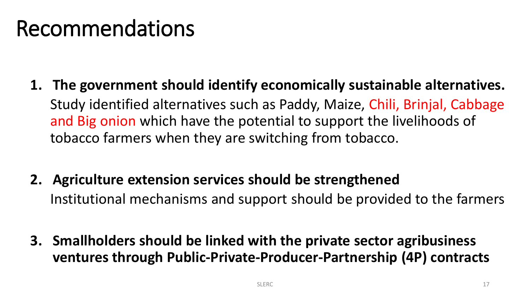## Recommendations

- **1. The government should identify economically sustainable alternatives.**  Study identified alternatives such as Paddy, Maize, Chili, Brinjal, Cabbage and Big onion which have the potential to support the livelihoods of tobacco farmers when they are switching from tobacco.
- **2. Agriculture extension services should be strengthened** Institutional mechanisms and support should be provided to the farmers
- **3. Smallholders should be linked with the private sector agribusiness ventures through Public-Private-Producer-Partnership (4P) contracts**